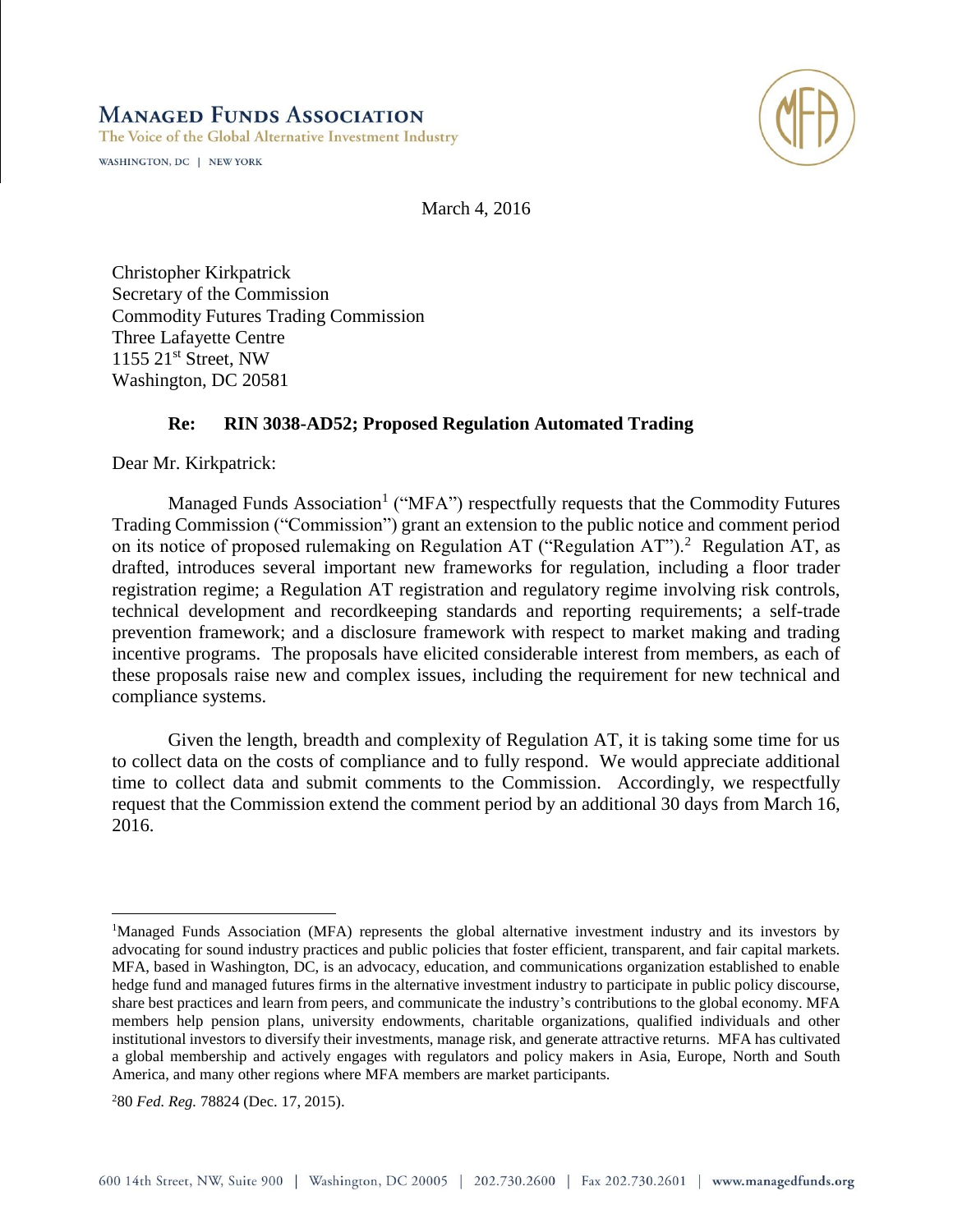**MANAGED FUNDS ASSOCIATION** 

The Voice of the Global Alternative Investment Industry

WASHINGTON, DC | NEW YORK



March 4, 2016

Christopher Kirkpatrick Secretary of the Commission Commodity Futures Trading Commission Three Lafayette Centre  $1155$   $21<sup>st</sup>$  Street, NW Washington, DC 20581

## **Re: RIN 3038-AD52; Proposed Regulation Automated Trading**

Dear Mr. Kirkpatrick:

Managed Funds Association<sup>1</sup> ("MFA") respectfully requests that the Commodity Futures Trading Commission ("Commission") grant an extension to the public notice and comment period on its notice of proposed rulemaking on Regulation AT ("Regulation AT").<sup>2</sup> Regulation AT, as drafted, introduces several important new frameworks for regulation, including a floor trader registration regime; a Regulation AT registration and regulatory regime involving risk controls, technical development and recordkeeping standards and reporting requirements; a self-trade prevention framework; and a disclosure framework with respect to market making and trading incentive programs. The proposals have elicited considerable interest from members, as each of these proposals raise new and complex issues, including the requirement for new technical and compliance systems.

Given the length, breadth and complexity of Regulation AT, it is taking some time for us to collect data on the costs of compliance and to fully respond. We would appreciate additional time to collect data and submit comments to the Commission. Accordingly, we respectfully request that the Commission extend the comment period by an additional 30 days from March 16, 2016.

 $\overline{a}$ 

<sup>1</sup>Managed Funds Association (MFA) represents the global alternative investment industry and its investors by advocating for sound industry practices and public policies that foster efficient, transparent, and fair capital markets. MFA, based in Washington, DC, is an advocacy, education, and communications organization established to enable hedge fund and managed futures firms in the alternative investment industry to participate in public policy discourse, share best practices and learn from peers, and communicate the industry's contributions to the global economy. MFA members help pension plans, university endowments, charitable organizations, qualified individuals and other institutional investors to diversify their investments, manage risk, and generate attractive returns. MFA has cultivated a global membership and actively engages with regulators and policy makers in Asia, Europe, North and South America, and many other regions where MFA members are market participants.

<sup>2</sup>80 *Fed. Reg.* 78824 (Dec. 17, 2015).